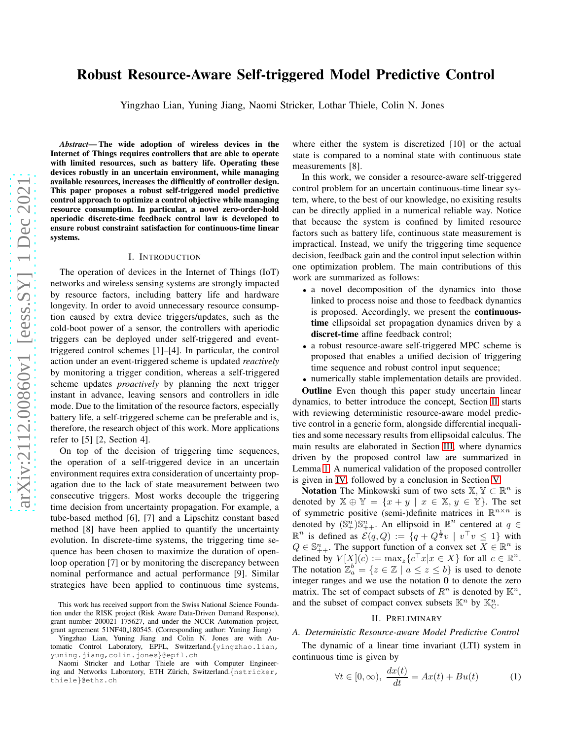# Robust Resource-Aware Self-triggered Model Predictive Control

Yingzhao Lian, Yuning Jiang, Naomi Stricker, Lothar Thiele, Colin N. Jones

*Abstract*— The wide adoption of wireless devices in the Internet of Things requires controllers that are able to operate with limited resources, such as battery life. Operating these devices robustly in an uncertain environment, while managing available resources, increases the difficultly of controller design. This paper proposes a robust self-triggered model predictive control approach to optimize a control objective while managing resource consumption. In particular, a novel zero-order-hold aperiodic discrete-time feedback control law is developed to ensure robust constraint satisfaction for continuous-time linear systems.

#### I. INTRODUCTION

The operation of devices in the Internet of Things (IoT) networks and wireless sensing systems are strongly impacted by resource factors, including battery life and hardware longevity. In order to avoid unnecessary resource consumption caused by extra device triggers/updates, such as the cold-boot power of a sensor, the controllers with aperiodic triggers can be deployed under self-triggered and eventtriggered control schemes [1]–[4]. In particular, the control action under an event-triggered scheme is updated *reactively* by monitoring a trigger condition, whereas a self-triggered scheme updates *proactively* by planning the next trigger instant in advance, leaving sensors and controllers in idle mode. Due to the limitation of the resource factors, especially battery life, a self-triggered scheme can be preferable and is, therefore, the research object of this work. More applications refer to [5] [2, Section 4].

On top of the decision of triggering time sequences, the operation of a self-triggered device in an uncertain environment requires extra consideration of uncertainty propagation due to the lack of state measurement between two consecutive triggers. Most works decouple the triggering time decision from uncertainty propagation. For example, a tube-based method [6], [7] and a Lipschitz constant based method [8] have been applied to quantify the uncertainty evolution. In discrete-time systems, the triggering time sequence has been chosen to maximize the duration of openloop operation [7] or by monitoring the discrepancy between nominal performance and actual performance [9]. Similar strategies have been applied to continuous time systems, where either the system is discretized [10] or the actual state is compared to a nominal state with continuous state measurements [8].

In this work, we consider a resource-aware self-triggered control problem for an uncertain continuous-time linear system, where, to the best of our knowledge, no exisiting results can be directly applied in a numerical reliable way. Notice that because the system is confined by limited resource factors such as battery life, continuous state measurement is impractical. Instead, we unify the triggering time sequence decision, feedback gain and the control input selection within one optimization problem. The main contributions of this work are summarized as follows:

- a novel decomposition of the dynamics into those linked to process noise and those to feedback dynamics is proposed. Accordingly, we present the continuoustime ellipsoidal set propagation dynamics driven by a discret-time affine feedback control;
- a robust resource-aware self-triggered MPC scheme is proposed that enables a unified decision of triggering time sequence and robust control input sequence;
- numerically stable implementation details are provided.

Outline Even though this paper study uncertain linear dynamics, to better introduce the concept, Section [II](#page-0-0) starts with reviewing deterministic resource-aware model predictive control in a generic form, alongside differential inequalities and some necessary results from ellipsoidal calculus. The main results are elaborated in Section [III,](#page-2-0) where dynamics driven by the proposed control law are summarized in Lemma [1.](#page-2-1) A numerical validation of the proposed controller is given in [IV,](#page-4-0) followed by a conclusion in Section [V.](#page-5-0)

**Notation** The Minkowski sum of two sets  $\mathbb{X}, \mathbb{Y} \subset \mathbb{R}^n$  is denoted by  $\mathbb{X} \oplus \mathbb{Y} = \{x + y \mid x \in \mathbb{X}, y \in \mathbb{Y}\}\$ . The set of symmetric positive (semi-)definite matrices in  $\mathbb{R}^{n \times n}$  is denoted by  $(\mathbb{S}_+^n)\mathbb{S}_{++}^n$ . An ellipsoid in  $\mathbb{R}^n$  centered at  $q \in$  $\mathbb{R}^n$  is defined as  $\mathcal{E}(q, Q) := \{q + Q^{\frac{1}{2}}v \mid v^\top v \leq 1\}$  with  $Q \in \mathbb{S}_{++}^n$ . The support function of a convex set  $X \in \mathbb{R}^n$  is defined by  $V[X](c) := \max_z \{c^\top x | x \in X\}$  for all  $c \in \mathbb{R}^n$ . The notation  $\mathbb{Z}_a^b = \{z \in \mathbb{Z} \mid a \leq z \leq b\}$  is used to denote integer ranges and we use the notation 0 to denote the zero matrix. The set of compact subsets of  $R^n$  is denoted by  $\mathbb{K}^n$ , and the subset of compact convex subsets  $\mathbb{K}^n$  by  $\mathbb{K}_C^n$ .

# II. PRELIMINARY

The dynamic of a linear time invariant (LTI) system in continuous time is given by

$$
\forall t \in [0, \infty), \ \frac{dx(t)}{dt} = Ax(t) + Bu(t) \tag{1}
$$

This work has received support from the Swiss National Science Foundation under the RISK project (Risk Aware Data-Driven Demand Response), grant number 200021 175627, and under the NCCR Automation project, grant agreement 51NF40 180545. (Corresponding author: Yuning Jiang)

Yingzhao Lian, Yuning Jiang and Colin N. Jones are with Automatic Control Laboratory, EPFL, Switzerland. {yingzhao.lian, yuning.jiang,colin.jones}@epfl.ch

Naomi Stricker and Lothar Thiele are with Computer Engineering and Networks Laboratory, ETH Zürich, Switzerland. {nstricker, thiele}@ethz.ch

<span id="page-0-0"></span>*A. Deterministic Resource-aware Model Predictive Control*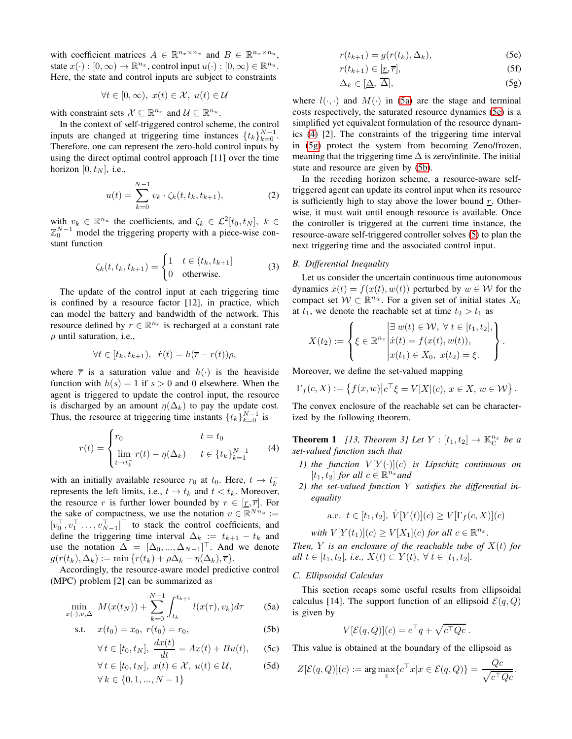with coefficient matrices  $A \in \mathbb{R}^{n_x \times n_x}$  and  $B \in \mathbb{R}^{n_x \times n_u}$ , state  $x(\cdot) : [0, \infty) \to \mathbb{R}^{n_x}$ , control input  $u(\cdot) : [0, \infty) \in \mathbb{R}^{n_u}$ . Here, the state and control inputs are subject to constraints

$$
\forall t \in [0, \infty), \ x(t) \in \mathcal{X}, \ u(t) \in \mathcal{U}
$$

with constraint sets  $\mathcal{X} \subseteq \mathbb{R}^{n_x}$  and  $\mathcal{U} \subseteq \mathbb{R}^{n_u}$ .

In the context of self-triggered control scheme, the control inputs are changed at triggering time instances  $\{t_k\}_{k=0}^{N-1}$ . Therefore, one can represent the zero-hold control inputs by using the direct optimal control approach [11] over the time horizon [0,  $t_N$ ], i.e.,

$$
u(t) = \sum_{k=0}^{N-1} v_k \cdot \zeta_k(t, t_k, t_{k+1}),
$$
 (2)

with  $v_k \in \mathbb{R}^{n_u}$  the coefficients, and  $\zeta_k \in \mathcal{L}^2[t_0, t_N], k \in$  $\mathbb{Z}_0^{N-1}$  model the triggering property with a piece-wise constant function

$$
\zeta_k(t, t_k, t_{k+1}) = \begin{cases} 1 & t \in (t_k, t_{k+1}] \\ 0 & \text{otherwise.} \end{cases} \tag{3}
$$

The update of the control input at each triggering time is confined by a resource factor [12], in practice, which can model the battery and bandwidth of the network. This resource defined by  $r \in \mathbb{R}^{n_r}$  is recharged at a constant rate  $\rho$  until saturation, i.e.,

$$
\forall t \in [t_k, t_{k+1}), \ \dot{r}(t) = h(\overline{r} - r(t))\rho,
$$

where  $\overline{r}$  is a saturation value and  $h(\cdot)$  is the heaviside function with  $h(s) = 1$  if  $s > 0$  and 0 elsewhere. When the agent is triggered to update the control input, the resource is discharged by an amount  $\eta(\Delta_k)$  to pay the update cost. Thus, the resource at triggering time instants  $\{t_k\}_{k=0}^{N-1}$  is

$$
r(t) = \begin{cases} r_0 & t = t_0 \\ \lim_{t \to t_k^-} r(t) - \eta(\Delta_k) & t \in \{t_k\}_{k=1}^{N-1} \end{cases}
$$
 (4)

with an initially available resource  $r_0$  at  $t_0$ . Here,  $t \to t_k^$ k represents the left limits, i.e.,  $t \rightarrow t_k$  and  $t < t_k$ . Moreover, the resource r is further lower bounded by  $r \in [r, \overline{r}]$ . For the sake of compactness, we use the notation  $v \in \mathbb{R}^{Nn_u}$  :=  $[v_0^\top, v_1^\top \dots, v_{N-1}^\top]^\top$  to stack the control coefficients, and define the triggering time interval  $\Delta_k := t_{k+1} - t_k$  and use the notation  $\Delta = [\Delta_0, ..., \Delta_{N-1}]^\top$ . And we denote  $g(r(t_k), \Delta_k) := \min \{r(t_k) + \rho \Delta_k - \eta(\Delta_k), \overline{r}\}.$ 

Accordingly, the resource-aware model predictive control (MPC) problem [2] can be summarized as

$$
\min_{x(\cdot), v, \Delta} M(x(t_N)) + \sum_{k=0}^{N-1} \int_{t_k}^{t_{k+1}} l(x(\tau), v_k) d\tau
$$
 (5a)

s.t. 
$$
x(t_0) = x_0, r(t_0) = r_0,
$$
 (5b)  

$$
\frac{dr(t)}{dt}
$$

$$
\forall t \in [t_0, t_N], \ \frac{dx(t)}{dt} = Ax(t) + Bu(t), \qquad \text{(5c)}
$$

$$
\forall t \in [t_0, t_N], \ x(t) \in \mathcal{X}, \ u(t) \in \mathcal{U}, \qquad (5d)
$$

$$
\forall k \in \{0, 1, ..., N - 1\}
$$

<span id="page-1-1"></span>
$$
r(t_{k+1}) = g(r(t_k), \Delta_k), \tag{5e}
$$

$$
r(t_{k+1}) \in [\underline{r}, \overline{r}], \tag{5f}
$$

<span id="page-1-3"></span>
$$
\Delta_k \in [\underline{\Delta}, \overline{\Delta}], \tag{5g}
$$

where  $l(\cdot, \cdot)$  and  $M(\cdot)$  in [\(5a\)](#page-1-0) are the stage and terminal costs respectively, the saturated resource dynamics [\(5e\)](#page-1-1) is a simplified yet equivalent formulation of the resource dynamics [\(4\)](#page-1-2) [2]. The constraints of the triggering time interval in [\(5g\)](#page-1-3) protect the system from becoming Zeno/frozen, meaning that the triggering time  $\Delta$  is zero/infinite. The initial state and resource are given by [\(5b\)](#page-1-4).

In the receding horizon scheme, a resource-aware selftriggered agent can update its control input when its resource is sufficiently high to stay above the lower bound  $r$ . Otherwise, it must wait until enough resource is available. Once the controller is triggered at the current time instance, the resource-aware self-triggered controller solves [\(5\)](#page-1-5) to plan the next triggering time and the associated control input.

## *B. Differential Inequality*

Let us consider the uncertain continuous time autonomous dynamics  $\dot{x}(t) = f(x(t), w(t))$  perturbed by  $w \in \mathcal{W}$  for the compact set  $W \subset \mathbb{R}^{n_w}$ . For a given set of initial states  $X_0$ at  $t_1$ , we denote the reachable set at time  $t_2 > t_1$  as

$$
X(t_2) := \left\{ \xi \in \mathbb{R}^{n_x} \middle| \begin{aligned} &\exists w(t) \in \mathcal{W}, \ \forall \ t \in [t_1, t_2], \\ &\dot{x}(t) = f(x(t), w(t)), \\ &x(t_1) \in X_0, \ x(t_2) = \xi. \end{aligned} \right\}.
$$

Moreover, we define the set-valued mapping

<span id="page-1-6"></span>
$$
\Gamma_f(c, X) := \left\{ f(x, w) \middle| c^\top \xi = V[X](c), \, x \in X, \, w \in \mathcal{W} \right\}.
$$

The convex enclosure of the reachable set can be characterized by the following theorem.

<span id="page-1-2"></span>**Theorem 1** [13, Theorem 3] Let  $Y : [t_1, t_2] \to \mathbb{K}_C^{n_x}$  be a *set-valued function such that*

- *1)* the function  $V[Y(\cdot)](c)$  is Lipschitz continuous on  $[t_1, t_2]$  *for all*  $c \in \mathbb{R}^{n_x}$  *and*
- *2) the set-valued function* Y *satisfies the differential inequality*

a.e. 
$$
t \in [t_1, t_2], \dot{V}[Y(t)](c) \ge V[\Gamma_f(c, X)](c)
$$

*with*  $V[Y(t_1)](c) \geq V[X_1](c)$  *for all*  $c \in \mathbb{R}^{n_x}$ *.* 

*Then,*  $Y$  *is an enclosure of the reachable tube of*  $X(t)$  *for all*  $t \in [t_1, t_2]$ *, i.e.,*  $X(t) \subset Y(t)$ *,* ∀  $t \in [t_1, t_2]$ *.* 

#### *C. Ellipsoidal Calculus*

<span id="page-1-5"></span><span id="page-1-0"></span>This section recaps some useful results from ellipsoidal calculus [14]. The support function of an ellipsoid  $\mathcal{E}(q, Q)$ is given by

$$
V[\mathcal{E}(q,Q)](c) = c^{\top}q + \sqrt{c^{\top}Qc}.
$$

<span id="page-1-4"></span>This value is obtained at the boundary of the ellipsoid as

$$
Z[\mathcal{E}(q, Q)](c) := \arg \max_{z} \{ c^{\top} x | x \in \mathcal{E}(q, Q) \} = \frac{Qc}{\sqrt{c^{\top} Qc}}.
$$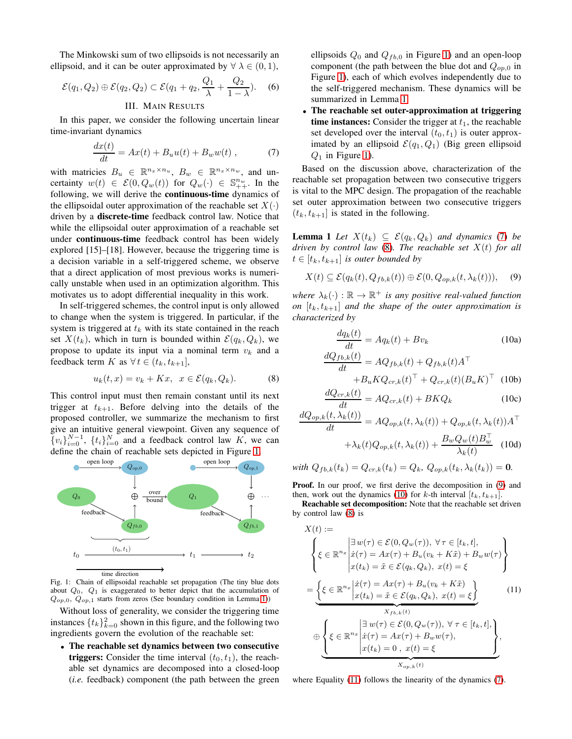The Minkowski sum of two ellipsoids is not necessarily an ellipsoid, and it can be outer approximated by  $\forall \lambda \in (0, 1)$ ,

<span id="page-2-0"></span>
$$
\mathcal{E}(q_1, Q_2) \oplus \mathcal{E}(q_2, Q_2) \subset \mathcal{E}(q_1 + q_2, \frac{Q_1}{\lambda} + \frac{Q_2}{1 - \lambda}).
$$
 (6)  
III. *Main RESULTS*

In this paper, we consider the following uncertain linear time-invariant dynamics

$$
\frac{dx(t)}{dt} = Ax(t) + B_u u(t) + B_w w(t) , \qquad (7)
$$

with matricies  $B_u \in \mathbb{R}^{n_x \times n_u}$ ,  $B_w \in \mathbb{R}^{n_x \times n_w}$ , and uncertainty  $w(t) \in \mathcal{E}(0, Q_w(t))$  for  $Q_w(\cdot) \in \mathbb{S}_{++}^{n_w}$ . In the following, we will derive the continuous-time dynamics of the ellipsoidal outer approximation of the reachable set  $X(\cdot)$ driven by a discrete-time feedback control law. Notice that while the ellipsoidal outer approximation of a reachable set under continuous-time feedback control has been widely explored [15]–[18]. However, because the triggering time is a decision variable in a self-triggered scheme, we observe that a direct application of most previous works is numerically unstable when used in an optimization algorithm. This motivates us to adopt differential inequality in this work.

In self-triggered schemes, the control input is only allowed to change when the system is triggered. In particular, if the system is triggered at  $t_k$  with its state contained in the reach set  $X(t_k)$ , which in turn is bounded within  $\mathcal{E}(q_k, Q_k)$ , we propose to update its input via a nominal term  $v_k$  and a feedback term K as  $\forall t \in (t_k, t_{k+1}],$ 

$$
u_k(t, x) = v_k + Kx, \quad x \in \mathcal{E}(q_k, Q_k). \tag{8}
$$

This control input must then remain constant until its next trigger at  $t_{k+1}$ . Before delving into the details of the proposed controller, we summarize the mechanism to first give an intuitive general viewpoint. Given any sequence of  $\{v_i\}_{i=0}^{N-1}$ ,  $\{t_i\}_{i=0}^{N}$  and a feedback control law K, we can define the chain of reachable sets depicted in Figure [1.](#page-2-2)

<span id="page-2-2"></span>

Fig. 1: Chain of ellipsoidal reachable set propagation (The tiny blue dots about  $Q_0$ ,  $Q_1$  is exaggerated to better depict that the accumulation of  $Q_{op,0}, \overline{Q}_{op,1}$  starts from zeros (See boundary condition in Lemma [1\)](#page-2-1))

Without loss of generality, we consider the triggering time instances  $\{t_k\}_{k=0}^2$  shown in this figure, and the following two ingredients govern the evolution of the reachable set:

• The reachable set dynamics between two consecutive **triggers:** Consider the time interval  $(t_0, t_1)$ , the reachable set dynamics are decomposed into a closed-loop (*i.e.* feedback) component (the path between the green ellipsoids  $Q_0$  and  $Q_{fb,0}$  in Figure [1\)](#page-2-2) and an open-loop component (the path between the blue dot and  $Q_{op,0}$  in Figure [1\)](#page-2-2), each of which evolves independently due to the self-triggered mechanism. These dynamics will be summarized in Lemma [1.](#page-2-1)

<span id="page-2-12"></span>The reachable set outer-approximation at triggering time instances: Consider the trigger at  $t_1$ , the reachable set developed over the interval  $(t_0, t_1)$  is outer approximated by an ellipsoid  $\mathcal{E}(q_1, Q_1)$  (Big green ellipsoid  $Q_1$  in Figure [1\)](#page-2-2).

<span id="page-2-3"></span>Based on the discussion above, characterization of the reachable set propagation between two consecutive triggers is vital to the MPC design. The propagation of the reachable set outer approximation between two consecutive triggers  $(t_k, t_{k+1}]$  is stated in the following.

<span id="page-2-1"></span>**Lemma 1** *Let*  $X(t_k) \subseteq \mathcal{E}(q_k, Q_k)$  *and dynamics* [\(7\)](#page-2-3) *be driven by control law* [\(8\)](#page-2-4)*. The reachable set* X(t) *for all*  $t \in [t_k, t_{k+1}]$  *is outer bounded by* 

$$
X(t) \subseteq \mathcal{E}(q_k(t), Q_{fb,k}(t)) \oplus \mathcal{E}(0, Q_{op,k}(t, \lambda_k(t))), \quad (9)
$$

where  $\lambda_k(\cdot) : \mathbb{R} \to \mathbb{R}^+$  *is any positive real-valued function on*  $[t_k, t_{k+1}]$  *and the shape of the outer approximation is characterized by*

<span id="page-2-8"></span><span id="page-2-6"></span><span id="page-2-5"></span>
$$
\frac{dq_k(t)}{dt} = Aq_k(t) + Bv_k
$$
\n
$$
\frac{dQ_{fb,k}(t)}{dt} = AQ_{fb,k}(t) + Q_{fb,k}(t)A^{\top}
$$
\n
$$
(10a)
$$
\n
$$
dV = AQ_{fb,k}(t) + Q_{fb,k}(t)A^{\top}
$$

<span id="page-2-11"></span><span id="page-2-10"></span><span id="page-2-9"></span>
$$
+B_u K Q_{cr,k}(t)^\top + Q_{cr,k}(t) (B_u K)^\top
$$
 (10b)  

$$
dQ_{cr,k}(t) = 4Q_{cr,k}(t) + BK Q_{cr,k}(t) (32)
$$

<span id="page-2-4"></span>
$$
\frac{d\omega_{cr,k}(t)}{dt} = AQ_{cr,k}(t) + BKQ_k
$$
\n(10c)

$$
\frac{dQ_{op,k}(t,\lambda_k(t))}{dt} = AQ_{op,k}(t,\lambda_k(t)) + Q_{op,k}(t,\lambda_k(t))A^{\top}
$$

$$
+\lambda_k(t)Q_{op,k}(t,\lambda_k(t)) + \frac{B_wQ_w(t)B_w^{\top}}{\lambda_k(t)}
$$
(10d)

*with*  $Q_{fb,k}(t_k) = Q_{cr,k}(t_k) = Q_k$ ,  $Q_{op,k}(t_k, \lambda_k(t_k)) = 0$ .

Proof. In our proof, we first derive the decomposition in [\(9\)](#page-2-5) and then, work out the dynamics [\(10\)](#page-2-6) for k-th interval  $[t_k, t_{k+1}]$ .

Reachable set decomposition: Note that the reachable set driven by control law [\(8\)](#page-2-4) is

<span id="page-2-7"></span>
$$
X(t) :=
$$
\n
$$
\begin{cases}\n\begin{cases}\n\xi \in \mathbb{R}^{n_x} \middle| \begin{aligned}\n\exists w(\tau) \in \mathcal{E}(0, Q_w(\tau)), \forall \tau \in [t_k, t], \\
\dot{x}(\tau) = Ax(\tau) + B_u(v_k + K\tilde{x}) + B_w w(\tau) \\
x(t_k) = \tilde{x} \in \mathcal{E}(q_k, Q_k), \ x(t) = \xi\n\end{aligned}\n\end{cases}
$$
\n
$$
= \underbrace{\left\{\xi \in \mathbb{R}^{n_x} \middle| \begin{aligned}\n\dot{x}(\tau) = Ax(\tau) + B_u(v_k + K\tilde{x}) \\
x(t_k) = \tilde{x} \in \mathcal{E}(q_k, Q_k), \ x(t) = \xi\n\end{aligned}\right\}}_{X_{fb,k}(t)} \quad (11)
$$
\n
$$
\oplus \underbrace{\left\{\xi \in \mathbb{R}^{n_x} \middle| \begin{aligned}\n\dot{x}(\tau) = Ax(\tau) + B_w w(\tau), \\
\dot{x}(\tau) = Ax(\tau) + B_w w(\tau), \\
x(t_k) = 0, \ x(t) = \xi\n\end{aligned}\right\}}_{X_{op,k}(t)},
$$

where Equality [\(11\)](#page-2-7) follows the linearity of the dynamics [\(7\)](#page-2-3).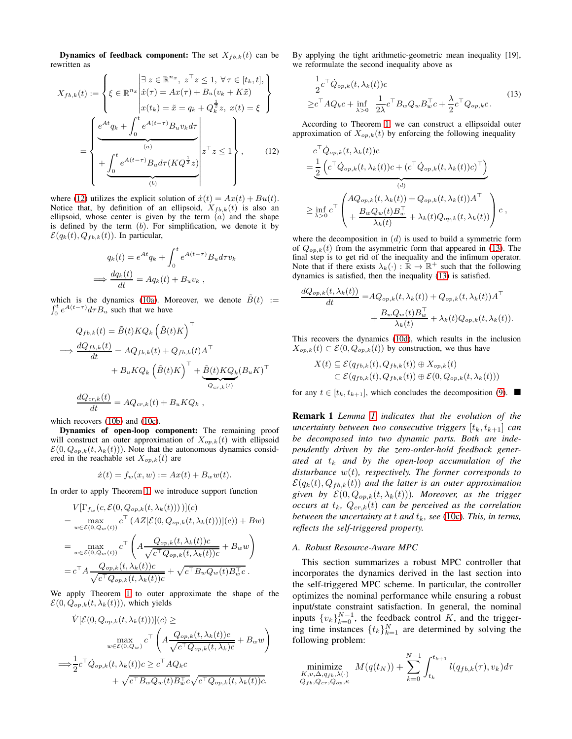**Dynamics of feedback component:** The set  $X_{fb,k}(t)$  can be rewritten as

$$
X_{fb,k}(t) := \left\{ \xi \in \mathbb{R}^{n_x} \left| \begin{array}{l} \exists \ z \in \mathbb{R}^{n_x}, \ z^{\top} z \leq 1, \ \forall \tau \in [t_k, t], \\ \dot{x}(\tau) = Ax(\tau) + B_u(v_k + K\tilde{x}) \\ x(t_k) = \tilde{x} = q_k + Q_k^{\frac{1}{2}} z, \ x(t) = \xi \end{array} \right\}
$$

$$
= \left\{ \begin{array}{l} e^{At}q_k + \int_0^t e^{A(t-\tau)} B_u v_k d\tau \\ \overbrace{(a)} \\ + \underbrace{\int_0^t e^{A(t-\tau)} B_u d\tau (KQ^{\frac{1}{2}} z)}_{(b)} \end{array} \right\}^{\tau} z \leq 1 \right\}, \tag{12}
$$

where [\(12\)](#page-3-0) utilizes the explicit solution of  $\dot{x}(t) = Ax(t) + Bu(t)$ . Notice that, by definition of an ellipsoid,  $X_{fb,k}(t)$  is also an ellipsoid, whose center is given by the term  $(a)$  and the shape is defined by the term  $(b)$ . For simplification, we denote it by  $\mathcal{E}(q_k(t), Q_{fb,k}(t))$ . In particular,

$$
q_k(t) = e^{At}q_k + \int_0^t e^{A(t-\tau)}B_u d\tau v_k
$$
  
\n
$$
\Rightarrow \frac{dq_k(t)}{dt} = Aq_k(t) + B_u v_k,
$$

 $\int_{0}^{t}$ which is the dynamics [\(10a\)](#page-2-8). Moreover, we denote  $\tilde{B}(t) :=$  $\int_0^t e^{A(t-\tau)} d\tau B_u$  such that we have

$$
Q_{fb,k}(t) = \tilde{B}(t)KQ_k \left(\tilde{B}(t)K\right)^{\top}
$$
  
\n
$$
\implies \frac{dQ_{fb,k}(t)}{dt} = AQ_{fb,k}(t) + Q_{fb,k}(t)A^{\top}
$$
  
\n
$$
+ B_u KQ_k \left(\tilde{B}(t)K\right)^{\top} + \underbrace{\tilde{B}(t)KQ_k}_{Q_{cr,k}(t)} (B_u K)^{\top}
$$
  
\n
$$
\frac{dQ_{cr,k}(t)}{dt} = AQ_{cr,k}(t) + B_u KQ_k ,
$$

which recovers [\(10b\)](#page-2-9) and [\(10c\)](#page-2-10).

=⇒

Dynamics of open-loop component: The remaining proof will construct an outer approximation of  $X_{op,k}(t)$  with ellipsoid  $\mathcal{E}(0, Q_{op,k}(t, \lambda_k(t)))$ . Note that the autonomous dynamics considered in the reachable set  $X_{op,k}(t)$  are

$$
\dot{x}(t) = f_w(x, w) := Ax(t) + B_w w(t).
$$

In order to apply Theorem [1,](#page-1-6) we introduce support function

$$
V[\Gamma_{f_w}(c, \mathcal{E}(0, Q_{op,k}(t, \lambda_k(t))))](c)
$$
  
= 
$$
\max_{w \in \mathcal{E}(0, Q_w(t))} c^{\top} (AZ[\mathcal{E}(0, Q_{op,k}(t, \lambda_k(t)))](c)) + Bw)
$$
  
= 
$$
\max_{w \in \mathcal{E}(0, Q_w(t))} c^{\top} \left( A \frac{Q_{op,k}(t, \lambda_k(t))c}{\sqrt{c^{\top}Q_{op,k}(t, \lambda_k(t))c}} + B_w w \right)
$$
  
= 
$$
c^{\top} A \frac{Q_{op,k}(t, \lambda_k(t))c}{\sqrt{c^{\top}Q_{op,k}(t, \lambda_k(t))c}} + \sqrt{c^{\top}B_wQ_w(t)B_w^{\top}c}.
$$

We apply Theorem [1](#page-1-6) to outer approximate the shape of the  $\mathcal{E}(0, Q_{op,k}(t, \lambda_k(t)))$ , which yields

$$
\dot{V}[\mathcal{E}(0, Q_{op,k}(t, \lambda_k(t)))](c) \ge
$$
\n
$$
\max_{w \in \mathcal{E}(0, Q_w)} c^{\top} \left( A \frac{Q_{op,k}(t, \lambda_k(t))c}{\sqrt{c^{\top} Q_{op,k}(t, \lambda_k)c}} + B_w w \right)
$$
\n
$$
\implies \frac{1}{2} c^{\top} \dot{Q}_{op,k}(t, \lambda_k(t))c \ge c^{\top} A Q_k c
$$
\n
$$
+ \sqrt{c^{\top} B_w Q_w(t) B_w^{\top} c} \sqrt{c^{\top} Q_{op,k}(t, \lambda_k(t))c}.
$$

By applying the tight arithmetic-geometric mean inequality [19], we reformulate the second inequality above as

<span id="page-3-1"></span>
$$
\frac{1}{2}c^{\top}\dot{Q}_{op,k}(t,\lambda_{k}(t))c
$$
\n
$$
\geq c^{\top}AQ_{k}c + \inf_{\lambda>0} \frac{1}{2\lambda}c^{\top}B_{w}Q_{w}B_{w}^{\top}c + \frac{\lambda}{2}c^{\top}Q_{op,k}c.
$$
\n(13)

<span id="page-3-0"></span>According to Theorem [1,](#page-1-6) we can construct a ellipsoidal outer approximation of  $X_{op,k}(t)$  by enforcing the following inequality

$$
c^{\top} \dot{Q}_{op,k}(t, \lambda_k(t))c
$$
  
= 
$$
\underbrace{\frac{1}{2} \left( c^{\top} \dot{Q}_{op,k}(t, \lambda_k(t))c + (c^{\top} \dot{Q}_{op,k}(t, \lambda_k(t))c)^{\top} \right)}_{(d)}
$$
  

$$
\geq \inf_{\lambda > 0} c^{\top} \left( \frac{A Q_{op,k}(t, \lambda_k(t)) + Q_{op,k}(t, \lambda_k(t)) A^{\top}}{A_k(t)} + \lambda_k(t) Q_{op,k}(t, \lambda_k(t)) \right) c,
$$

where the decomposition in  $(d)$  is used to build a symmetric form of  $Q_{op,k}(t)$  from the asymmetric form that appeared in [\(13\)](#page-3-1). The final step is to get rid of the inequality and the infimum operator. Note that if there exists  $\lambda_k(\cdot) : \mathbb{R} \to \mathbb{R}^+$  such that the following dynamics is satisfied, then the inequality [\(13\)](#page-3-1) is satisfied.

$$
\frac{dQ_{op,k}(t,\lambda_k(t))}{dt} = AQ_{op,k}(t,\lambda_k(t)) + Q_{op,k}(t,\lambda_k(t))A^{\top}
$$

$$
+ \frac{B_w Q_w(t)B_w^{\top}}{\lambda_k(t)} + \lambda_k(t)Q_{op,k}(t,\lambda_k(t)).
$$

This recovers the dynamics [\(10d\)](#page-2-11), which results in the inclusion  $X_{op,k}(t) \subset \mathcal{E}(0, Q_{op,k}(t))$  by construction, we thus have

$$
X(t) \subseteq \mathcal{E}(q_{fb,k}(t), Q_{fb,k}(t)) \oplus X_{op,k}(t)
$$
  

$$
\subset \mathcal{E}(q_{fb,k}(t), Q_{fb,k}(t)) \oplus \mathcal{E}(0, Q_{op,k}(t, \lambda_k(t)))
$$

for any  $t \in [t_k, t_{k+1}]$ , which concludes the decomposition [\(9\)](#page-2-5).

Remark 1 *Lemma [1](#page-2-1) indicates that the evolution of the uncertainty between two consecutive triggers*  $[t_k, t_{k+1}]$  *can be decomposed into two dynamic parts. Both are independently driven by the zero-order-hold feedback gener-* $\alpha$ *ated at*  $t_k$  *and by the open-loop accumulation of the disturbance* w(t)*, respectively. The former corresponds to*  $\mathcal{E}(q_k(t), Q_{fb,k}(t))$  and the latter is an outer approximation *given by*  $\mathcal{E}(0, Q_{op,k}(t, \lambda_k(t)))$ *. Moreover, as the trigger occurs at*  $t_k$ ,  $Q_{cr,k}(t)$  *can be perceived as the correlation between the uncertainty at t and*  $t_k$ *, see* [\(10c\)](#page-2-10)*. This, in terms, reflects the self-triggered property.*

#### *A. Robust Resource-Aware MPC*

This section summarizes a robust MPC controller that incorporates the dynamics derived in the last section into the self-triggered MPC scheme. In particular, the controller optimizes the nominal performance while ensuring a robust input/state constraint satisfaction. In general, the nominal inputs  $\{v_k\}_{k=0}^{N-1}$ , the feedback control K, and the triggering time instances  $\{t_k\}_{k=1}^N$  are determined by solving the following problem:

minimize  

$$
K, v, \Delta, q_{fb}, \lambda(\cdot)
$$
  
 $Q_{fb}, Q_{cr}, Q_{op}, \kappa$   
 $Q_{fb}, Q_{cr}, Q_{op}, \kappa$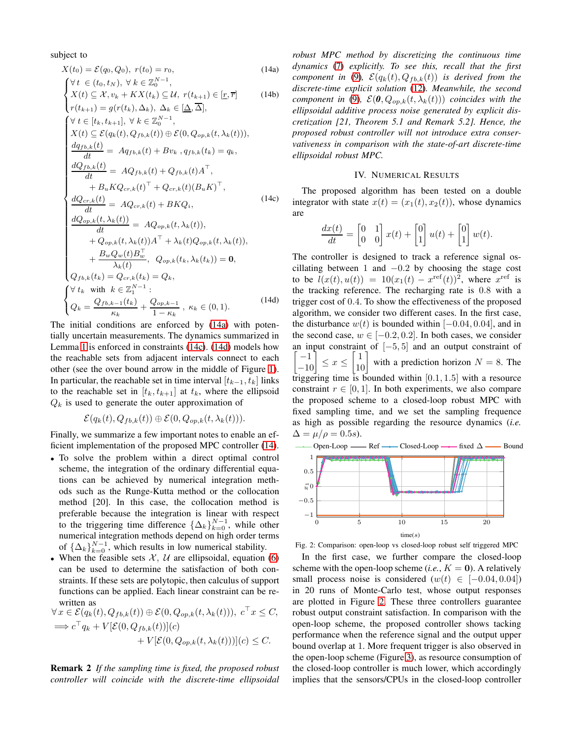subject to

<span id="page-4-4"></span>
$$
X(t_0) = \mathcal{E}(q_0, Q_0), r(t_0) = r_0,
$$
\n
$$
Y(t \in (t_0, t_N), \forall k \in \mathbb{Z}_0^{N-1},
$$
\n
$$
X(t) \subseteq \mathcal{X}, v_k + K X(t_k) \subseteq \mathcal{U}, r(t_{k+1}) \in [\underline{r}, \overline{r}]
$$
\n
$$
r(t_{k+1}) = g(r(t_k), \Delta_k), \Delta_k \in [\Delta, \overline{\Delta}],
$$
\n
$$
\forall t \in [t_k, t_{k+1}], \forall k \in \mathbb{Z}_0^{N-1},
$$
\n
$$
X(t) \subseteq \mathcal{E}(q_k(t), Q_{fb,k}(t)) \oplus \mathcal{E}(0, Q_{op,k}(t, \lambda_k(t))),
$$
\n
$$
\frac{dq_{fb,k}(t)}{dt} = Aq_{fb,k}(t) + Bv_k, q_{fb,k}(t_k) = q_k,
$$
\n
$$
\frac{dQ_{fb,k}(t)}{dt} = AQ_{fb,k}(t) + Q_{fb,k}(t)A^\top,
$$
\n
$$
+ B_u K Q_{cr,k}(t)^\top + Q_{cr,k}(t) (B_u K)^\top,
$$
\n
$$
\frac{dQ_{cr,k}(t)}{dt} = AQ_{cr,k}(t) + B K Q_i,
$$
\n
$$
\frac{dQ_{op,k}(t, \lambda_k(t))}{dt} = AQ_{op,k}(t, \lambda_k(t)),
$$
\n
$$
+ Q_{op,k}(t, \lambda_k(t))A^\top + \lambda_k(t)Q_{op,k}(t, \lambda_k(t)),
$$
\n
$$
+ \frac{B_w Q_w(t)B_w^\top}{\lambda_k(t)}, Q_{op,k}(t_k, \lambda_k(t_k)) = 0,
$$
\n
$$
Q_{fb,k}(t_k) = Q_{cr,k}(t_k) = Q_k,
$$
\n
$$
\forall t_k \text{ with } k \in \mathbb{Z}_1^{N-1}:
$$
\n
$$
Q_k = \frac{Q_{fb,k-1}(t_k)}{\kappa_k} + \frac{Q_{op,k-1}}{1 - \kappa_k}, \kappa_k \in (0, 1).
$$
\n(14d)

The initial conditions are enforced by [\(14a\)](#page-4-1) with potentially uncertain measurements. The dynamics summarized in Lemma [1](#page-2-1) is enforced in constraints [\(14c\)](#page-4-2). [\(14d\)](#page-4-3) models how the reachable sets from adjacent intervals connect to each other (see the over bound arrow in the middle of Figure [1\)](#page-2-2). In particular, the reachable set in time interval  $[t_{k-1}, t_k]$  links to the reachable set in  $[t_k, t_{k+1}]$  at  $t_k$ , where the ellipsoid  $Q_k$  is used to generate the outer approximation of

$$
\mathcal{E}(q_k(t), Q_{fb,k}(t)) \oplus \mathcal{E}(0, Q_{op,k}(t, \lambda_k(t))).
$$

Finally, we summarize a few important notes to enable an efficient implementation of the proposed MPC controller [\(14\)](#page-4-4).

- To solve the problem within a direct optimal control scheme, the integration of the ordinary differential equations can be achieved by numerical integration methods such as the Runge-Kutta method or the collocation method [20]. In this case, the collocation method is preferable because the integration is linear with respect to the triggering time difference  $\{\Delta_k\}_{k=0}^{N-1}$ , while other numerical integration methods depend on high order terms of  $\{\Delta_k\}_{k=0}^{N-1}$ , which results in low numerical stability.
- When the feasible sets  $X$ ,  $U$  are ellipsoidal, equation [\(6\)](#page-2-12) can be used to determine the satisfaction of both constraints. If these sets are polytopic, then calculus of support functions can be applied. Each linear constraint can be rewritten as

$$
\forall x \in \mathcal{E}(q_k(t), Q_{fb,k}(t)) \oplus \mathcal{E}(0, Q_{op,k}(t, \lambda_k(t))), c^{\top} x \leq C, \n\implies c^{\top} q_k + V[\mathcal{E}(0, Q_{fb,k}(t))](c) \n+ V[\mathcal{E}(0, Q_{op,k}(t, \lambda_k(t)))](c) \leq C.
$$

Remark 2 *If the sampling time is fixed, the proposed robust controller will coincide with the discrete-time ellipsoidal* <span id="page-4-1"></span>*robust MPC method by discretizing the continuous time dynamics* [\(7\)](#page-2-3) *explicitly. To see this, recall that the first component in* [\(9\)](#page-2-5),  $\mathcal{E}(q_k(t), Q_{fb,k}(t))$  *is derived from the discrete-time explicit solution* [\(12\)](#page-3-0)*. Meanwhile, the second component in* [\(9\)](#page-2-5),  $\mathcal{E}(\boldsymbol{0}, Q_{op,k}(t, \lambda_k(t)))$  *coincides with the ellipsoidal additive process noise generated by explicit discretization [21, Theorem 5.1 and Remark 5.2]. Hence, the proposed robust controller will not introduce extra conservativeness in comparison with the state-of-art discrete-time ellipsoidal robust MPC.*

### IV. NUMERICAL RESULTS

<span id="page-4-2"></span><span id="page-4-0"></span>The proposed algorithm has been tested on a double integrator with state  $x(t) = (x_1(t), x_2(t))$ , whose dynamics are

$$
\frac{dx(t)}{dt} = \begin{bmatrix} 0 & 1 \\ 0 & 0 \end{bmatrix} x(t) + \begin{bmatrix} 0 \\ 1 \end{bmatrix} u(t) + \begin{bmatrix} 0 \\ 1 \end{bmatrix} w(t).
$$

<span id="page-4-3"></span>The controller is designed to track a reference signal oscillating between 1 and  $-0.2$  by choosing the stage cost to be  $l(x(t), u(t)) = 10(x_1(t) - x^{\text{ref}}(t))^2$ , where  $x^{\text{ref}}$  is the tracking reference. The recharging rate is 0.8 with a trigger cost of 0.4. To show the effectiveness of the proposed algorithm, we consider two different cases. In the first case, the disturbance  $w(t)$  is bounded within [−0.04, 0.04], and in the second case,  $w \in [-0.2, 0.2]$ . In both cases, we consider an input constraint of [−5, 5] and an output constraint of  $\begin{bmatrix} -1 \\ -10 \end{bmatrix} \le x \le \begin{bmatrix} 1 \\ 10 \end{bmatrix}$  with a prediction horizon  $N = 8$ . The triggering time is bounded within  $[0.1, 1.5]$  with a resource constraint  $r \in [0, 1]$ . In both experiments, we also compare the proposed scheme to a closed-loop robust MPC with fixed sampling time, and we set the sampling frequence as high as possible regarding the resource dynamics (*i.e.*  $\Delta = \mu/\rho = 0.5s.$ 



<span id="page-4-5"></span>Open-Loop — Ref  $\rightarrow$  Closed-Loop  $\rightarrow$  fixed  $\Delta$  — Bound

Fig. 2: Comparison: open-loop vs closed-loop robust self triggered MPC

In the first case, we further compare the closed-loop scheme with the open-loop scheme (*i.e.*,  $K = 0$ ). A relatively small process noise is considered  $(w(t) \in [-0.04, 0.04])$ in 20 runs of Monte-Carlo test, whose output responses are plotted in Figure [2.](#page-4-5) These three controllers guarantee robust output constraint satisfaction. In comparison with the open-loop scheme, the proposed controller shows tacking performance when the reference signal and the output upper bound overlap at 1. More frequent trigger is also observed in the open-loop scheme (Figure [3\)](#page-5-1), as resource consumption of the closed-loop controller is much lower, which accordingly implies that the sensors/CPUs in the closed-loop controller